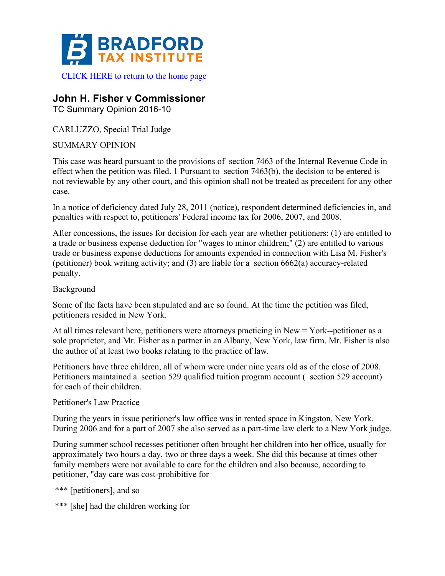

## **John H. Fisher v Commissioner**

TC Summary Opinion 2016-10

CARLUZZO, Special Trial Judge

SUMMARY OPINION

This case was heard pursuant to the provisions of section 7463 of the Internal Revenue Code in effect when the petition was filed. 1 Pursuant to section 7463(b), the decision to be entered is not reviewable by any other court, and this opinion shall not be treated as precedent for any other case.

In a notice of deficiency dated July 28, 2011 (notice), respondent determined deficiencies in, and penalties with respect to, petitioners' Federal income tax for 2006, 2007, and 2008.

After concessions, the issues for decision for each year are whether petitioners: (1) are entitled to a trade or business expense deduction for "wages to minor children;" (2) are entitled to various trade or business expense deductions for amounts expended in connection with Lisa M. Fisher's (petitioner) book writing activity; and (3) are liable for a section 6662(a) accuracy-related penalty.

## Background

Some of the facts have been stipulated and are so found. At the time the petition was filed, petitioners resided in New York.

At all times relevant here, petitioners were attorneys practicing in New = York--petitioner as a sole proprietor, and Mr. Fisher as a partner in an Albany, New York, law firm. Mr. Fisher is also the author of at least two books relating to the practice of law.

Petitioners have three children, all of whom were under nine years old as of the close of 2008. Petitioners maintained a section 529 qualified tuition program account ( section 529 account) for each of their children.

Petitioner's Law Practice

During the years in issue petitioner's law office was in rented space in Kingston, New York. During 2006 and for a part of 2007 she also served as a part-time law clerk to a New York judge.

During summer school recesses petitioner often brought her children into her office, usually for approximately two hours a day, two or three days a week. She did this because at times other family members were not available to care for the children and also because, according to petitioner, "day care was cost-prohibitive for

\*\*\* [petitioners], and so

\*\*\* [she] had the children working for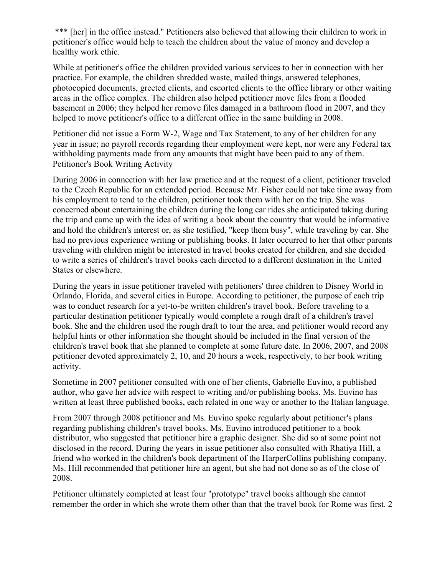\*\*\* [her] in the office instead." Petitioners also believed that allowing their children to work in petitioner's office would help to teach the children about the value of money and develop a healthy work ethic.

While at petitioner's office the children provided various services to her in connection with her practice. For example, the children shredded waste, mailed things, answered telephones, photocopied documents, greeted clients, and escorted clients to the office library or other waiting areas in the office complex. The children also helped petitioner move files from a flooded basement in 2006; they helped her remove files damaged in a bathroom flood in 2007, and they helped to move petitioner's office to a different office in the same building in 2008.

Petitioner did not issue a Form W-2, Wage and Tax Statement, to any of her children for any year in issue; no payroll records regarding their employment were kept, nor were any Federal tax withholding payments made from any amounts that might have been paid to any of them. Petitioner's Book Writing Activity

During 2006 in connection with her law practice and at the request of a client, petitioner traveled to the Czech Republic for an extended period. Because Mr. Fisher could not take time away from his employment to tend to the children, petitioner took them with her on the trip. She was concerned about entertaining the children during the long car rides she anticipated taking during the trip and came up with the idea of writing a book about the country that would be informative and hold the children's interest or, as she testified, "keep them busy", while traveling by car. She had no previous experience writing or publishing books. It later occurred to her that other parents traveling with children might be interested in travel books created for children, and she decided to write a series of children's travel books each directed to a different destination in the United States or elsewhere.

During the years in issue petitioner traveled with petitioners' three children to Disney World in Orlando, Florida, and several cities in Europe. According to petitioner, the purpose of each trip was to conduct research for a yet-to-be written children's travel book. Before traveling to a particular destination petitioner typically would complete a rough draft of a children's travel book. She and the children used the rough draft to tour the area, and petitioner would record any helpful hints or other information she thought should be included in the final version of the children's travel book that she planned to complete at some future date. In 2006, 2007, and 2008 petitioner devoted approximately 2, 10, and 20 hours a week, respectively, to her book writing activity.

Sometime in 2007 petitioner consulted with one of her clients, Gabrielle Euvino, a published author, who gave her advice with respect to writing and/or publishing books. Ms. Euvino has written at least three published books, each related in one way or another to the Italian language.

From 2007 through 2008 petitioner and Ms. Euvino spoke regularly about petitioner's plans regarding publishing children's travel books. Ms. Euvino introduced petitioner to a book distributor, who suggested that petitioner hire a graphic designer. She did so at some point not disclosed in the record. During the years in issue petitioner also consulted with Rhatiya Hill, a friend who worked in the children's book department of the HarperCollins publishing company. Ms. Hill recommended that petitioner hire an agent, but she had not done so as of the close of 2008.

Petitioner ultimately completed at least four "prototype" travel books although she cannot remember the order in which she wrote them other than that the travel book for Rome was first. 2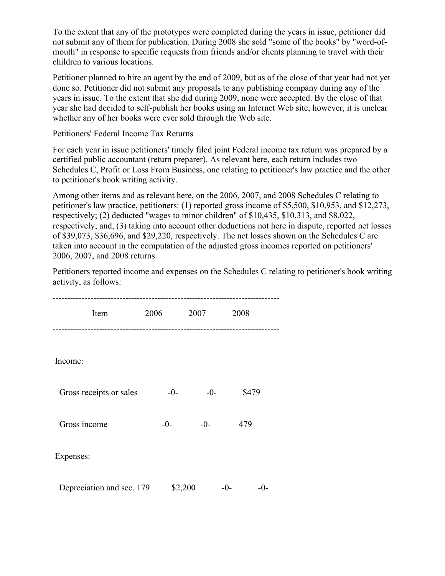To the extent that any of the prototypes were completed during the years in issue, petitioner did not submit any of them for publication. During 2008 she sold "some of the books" by "word-ofmouth" in response to specific requests from friends and/or clients planning to travel with their children to various locations.

Petitioner planned to hire an agent by the end of 2009, but as of the close of that year had not yet done so. Petitioner did not submit any proposals to any publishing company during any of the years in issue. To the extent that she did during 2009, none were accepted. By the close of that year she had decided to self-publish her books using an Internet Web site; however, it is unclear whether any of her books were ever sold through the Web site.

Petitioners' Federal Income Tax Returns

For each year in issue petitioners' timely filed joint Federal income tax return was prepared by a certified public accountant (return preparer). As relevant here, each return includes two Schedules C, Profit or Loss From Business, one relating to petitioner's law practice and the other to petitioner's book writing activity.

Among other items and as relevant here, on the 2006, 2007, and 2008 Schedules C relating to petitioner's law practice, petitioners: (1) reported gross income of \$5,500, \$10,953, and \$12,273, respectively; (2) deducted "wages to minor children" of \$10,435, \$10,313, and \$8,022, respectively; and, (3) taking into account other deductions not here in dispute, reported net losses of \$39,073, \$36,696, and \$29,220, respectively. The net losses shown on the Schedules C are taken into account in the computation of the adjusted gross incomes reported on petitioners' 2006, 2007, and 2008 returns.

Petitioners reported income and expenses on the Schedules C relating to petitioner's book writing activity, as follows:

| Item                      | 2006    | 2007  | 2008         |  |
|---------------------------|---------|-------|--------------|--|
| Income:                   |         |       |              |  |
| Gross receipts or sales   | $-0-$   | $-0-$ | \$479        |  |
| Gross income              | $-0-$   | $-0-$ | 479          |  |
| Expenses:                 |         |       |              |  |
| Depreciation and sec. 179 | \$2,200 |       | $-()$<br>-0- |  |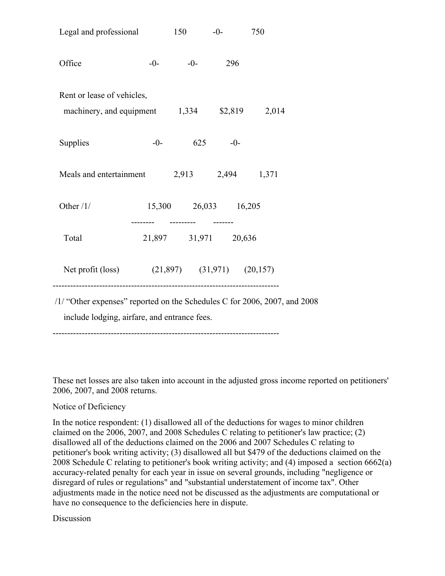| Legal and professional                                                     |  | 150                  | $-0-$    | 750 |  |  |  |
|----------------------------------------------------------------------------|--|----------------------|----------|-----|--|--|--|
| Office                                                                     |  | $-0$ - $-0$ - 296    |          |     |  |  |  |
| Rent or lease of vehicles,<br>machinery, and equipment 1,334 \$2,819 2,014 |  |                      |          |     |  |  |  |
| Supplies                                                                   |  | $-0-$                | $625 -0$ |     |  |  |  |
| Meals and entertainment $2,913$ $2,494$ $1,371$                            |  |                      |          |     |  |  |  |
| Other $/1/$                                                                |  | 15,300 26,033 16,205 |          |     |  |  |  |
| Total                                                                      |  | 21,897 31,971 20,636 |          |     |  |  |  |
| Net profit (loss) (21,897) (31,971) (20,157)                               |  |                      |          |     |  |  |  |
| /1/ "Other expenses" reported on the Schedules C for 2006, 2007, and 2008  |  |                      |          |     |  |  |  |

include lodging, airfare, and entrance fees.

------------------------------------------------------------------------------

These net losses are also taken into account in the adjusted gross income reported on petitioners' 2006, 2007, and 2008 returns.

## Notice of Deficiency

In the notice respondent: (1) disallowed all of the deductions for wages to minor children claimed on the 2006, 2007, and 2008 Schedules C relating to petitioner's law practice; (2) disallowed all of the deductions claimed on the 2006 and 2007 Schedules C relating to petitioner's book writing activity; (3) disallowed all but \$479 of the deductions claimed on the 2008 Schedule C relating to petitioner's book writing activity; and (4) imposed a section 6662(a) accuracy-related penalty for each year in issue on several grounds, including "negligence or disregard of rules or regulations" and "substantial understatement of income tax". Other adjustments made in the notice need not be discussed as the adjustments are computational or have no consequence to the deficiencies here in dispute.

## **Discussion**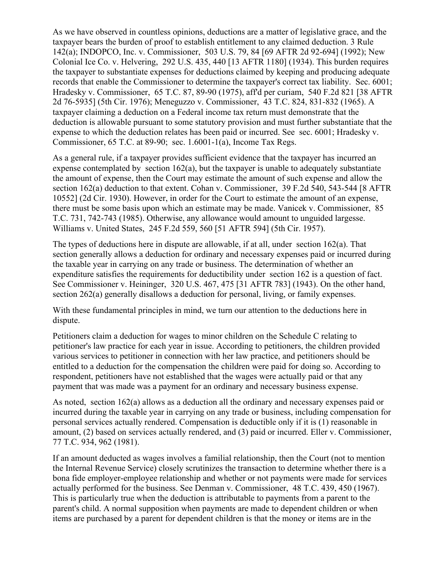As we have observed in countless opinions, deductions are a matter of legislative grace, and the taxpayer bears the burden of proof to establish entitlement to any claimed deduction. 3 Rule 142(a); INDOPCO, Inc. v. Commissioner, 503 U.S. 79, 84 [69 AFTR 2d 92-694] (1992); New Colonial Ice Co. v. Helvering, 292 U.S. 435, 440 [13 AFTR 1180] (1934). This burden requires the taxpayer to substantiate expenses for deductions claimed by keeping and producing adequate records that enable the Commissioner to determine the taxpayer's correct tax liability. Sec. 6001; Hradesky v. Commissioner, 65 T.C. 87, 89-90 (1975), aff'd per curiam, 540 F.2d 821 [38 AFTR 2d 76-5935] (5th Cir. 1976); Meneguzzo v. Commissioner, 43 T.C. 824, 831-832 (1965). A taxpayer claiming a deduction on a Federal income tax return must demonstrate that the deduction is allowable pursuant to some statutory provision and must further substantiate that the expense to which the deduction relates has been paid or incurred. See sec. 6001; Hradesky v. Commissioner, 65 T.C. at 89-90; sec. 1.6001-1(a), Income Tax Regs.

As a general rule, if a taxpayer provides sufficient evidence that the taxpayer has incurred an expense contemplated by section  $162(a)$ , but the taxpayer is unable to adequately substantiate the amount of expense, then the Court may estimate the amount of such expense and allow the section 162(a) deduction to that extent. Cohan v. Commissioner, 39 F.2d 540, 543-544 [8 AFTR 10552] (2d Cir. 1930). However, in order for the Court to estimate the amount of an expense, there must be some basis upon which an estimate may be made. Vanicek v. Commissioner, 85 T.C. 731, 742-743 (1985). Otherwise, any allowance would amount to unguided largesse. Williams v. United States, 245 F.2d 559, 560 [51 AFTR 594] (5th Cir. 1957).

The types of deductions here in dispute are allowable, if at all, under section 162(a). That section generally allows a deduction for ordinary and necessary expenses paid or incurred during the taxable year in carrying on any trade or business. The determination of whether an expenditure satisfies the requirements for deductibility under section 162 is a question of fact. See Commissioner v. Heininger, 320 U.S. 467, 475 [31 AFTR 783] (1943). On the other hand, section 262(a) generally disallows a deduction for personal, living, or family expenses.

With these fundamental principles in mind, we turn our attention to the deductions here in dispute.

Petitioners claim a deduction for wages to minor children on the Schedule C relating to petitioner's law practice for each year in issue. According to petitioners, the children provided various services to petitioner in connection with her law practice, and petitioners should be entitled to a deduction for the compensation the children were paid for doing so. According to respondent, petitioners have not established that the wages were actually paid or that any payment that was made was a payment for an ordinary and necessary business expense.

As noted, section 162(a) allows as a deduction all the ordinary and necessary expenses paid or incurred during the taxable year in carrying on any trade or business, including compensation for personal services actually rendered. Compensation is deductible only if it is (1) reasonable in amount, (2) based on services actually rendered, and (3) paid or incurred. Eller v. Commissioner, 77 T.C. 934, 962 (1981).

If an amount deducted as wages involves a familial relationship, then the Court (not to mention the Internal Revenue Service) closely scrutinizes the transaction to determine whether there is a bona fide employer-employee relationship and whether or not payments were made for services actually performed for the business. See Denman v. Commissioner, 48 T.C. 439, 450 (1967). This is particularly true when the deduction is attributable to payments from a parent to the parent's child. A normal supposition when payments are made to dependent children or when items are purchased by a parent for dependent children is that the money or items are in the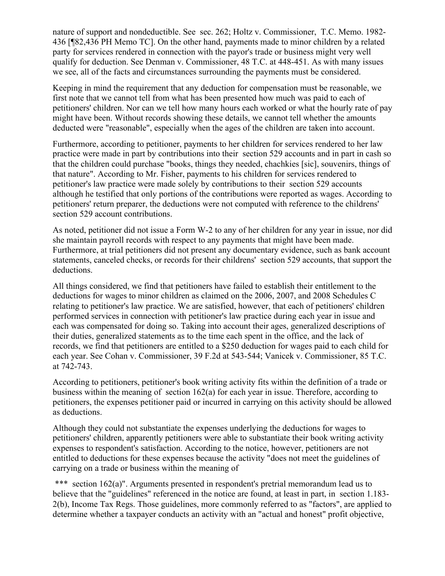nature of support and nondeductible. See sec. 262; Holtz v. Commissioner, T.C. Memo. 1982- 436 [¶82,436 PH Memo TC]. On the other hand, payments made to minor children by a related party for services rendered in connection with the payor's trade or business might very well qualify for deduction. See Denman v. Commissioner, 48 T.C. at 448-451. As with many issues we see, all of the facts and circumstances surrounding the payments must be considered.

Keeping in mind the requirement that any deduction for compensation must be reasonable, we first note that we cannot tell from what has been presented how much was paid to each of petitioners' children. Nor can we tell how many hours each worked or what the hourly rate of pay might have been. Without records showing these details, we cannot tell whether the amounts deducted were "reasonable", especially when the ages of the children are taken into account.

Furthermore, according to petitioner, payments to her children for services rendered to her law practice were made in part by contributions into their section 529 accounts and in part in cash so that the children could purchase "books, things they needed, chachkies [sic], souvenirs, things of that nature". According to Mr. Fisher, payments to his children for services rendered to petitioner's law practice were made solely by contributions to their section 529 accounts although he testified that only portions of the contributions were reported as wages. According to petitioners' return preparer, the deductions were not computed with reference to the childrens' section 529 account contributions.

As noted, petitioner did not issue a Form W-2 to any of her children for any year in issue, nor did she maintain payroll records with respect to any payments that might have been made. Furthermore, at trial petitioners did not present any documentary evidence, such as bank account statements, canceled checks, or records for their childrens' section 529 accounts, that support the deductions.

All things considered, we find that petitioners have failed to establish their entitlement to the deductions for wages to minor children as claimed on the 2006, 2007, and 2008 Schedules C relating to petitioner's law practice. We are satisfied, however, that each of petitioners' children performed services in connection with petitioner's law practice during each year in issue and each was compensated for doing so. Taking into account their ages, generalized descriptions of their duties, generalized statements as to the time each spent in the office, and the lack of records, we find that petitioners are entitled to a \$250 deduction for wages paid to each child for each year. See Cohan v. Commissioner, 39 F.2d at 543-544; Vanicek v. Commissioner, 85 T.C. at 742-743.

According to petitioners, petitioner's book writing activity fits within the definition of a trade or business within the meaning of section 162(a) for each year in issue. Therefore, according to petitioners, the expenses petitioner paid or incurred in carrying on this activity should be allowed as deductions.

Although they could not substantiate the expenses underlying the deductions for wages to petitioners' children, apparently petitioners were able to substantiate their book writing activity expenses to respondent's satisfaction. According to the notice, however, petitioners are not entitled to deductions for these expenses because the activity "does not meet the guidelines of carrying on a trade or business within the meaning of

\*\*\* section 162(a)". Arguments presented in respondent's pretrial memorandum lead us to believe that the "guidelines" referenced in the notice are found, at least in part, in section 1.183- 2(b), Income Tax Regs. Those guidelines, more commonly referred to as "factors", are applied to determine whether a taxpayer conducts an activity with an "actual and honest" profit objective,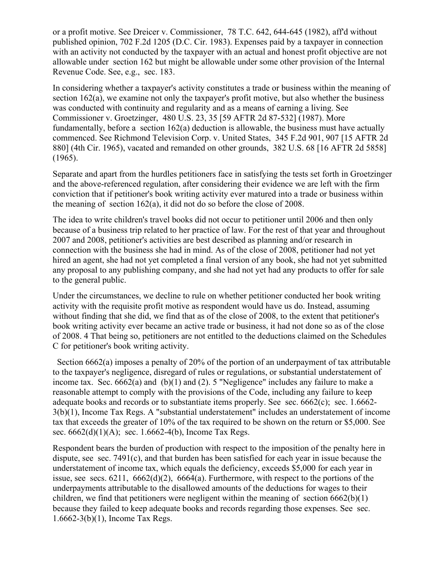or a profit motive. See Dreicer v. Commissioner, 78 T.C. 642, 644-645 (1982), aff'd without published opinion, 702 F.2d 1205 (D.C. Cir. 1983). Expenses paid by a taxpayer in connection with an activity not conducted by the taxpayer with an actual and honest profit objective are not allowable under section 162 but might be allowable under some other provision of the Internal Revenue Code. See, e.g., sec. 183.

In considering whether a taxpayer's activity constitutes a trade or business within the meaning of section 162(a), we examine not only the taxpayer's profit motive, but also whether the business was conducted with continuity and regularity and as a means of earning a living. See Commissioner v. Groetzinger, 480 U.S. 23, 35 [59 AFTR 2d 87-532] (1987). More fundamentally, before a section 162(a) deduction is allowable, the business must have actually commenced. See Richmond Television Corp. v. United States, 345 F.2d 901, 907 [15 AFTR 2d 880] (4th Cir. 1965), vacated and remanded on other grounds, 382 U.S. 68 [16 AFTR 2d 5858] (1965).

Separate and apart from the hurdles petitioners face in satisfying the tests set forth in Groetzinger and the above-referenced regulation, after considering their evidence we are left with the firm conviction that if petitioner's book writing activity ever matured into a trade or business within the meaning of section 162(a), it did not do so before the close of 2008.

The idea to write children's travel books did not occur to petitioner until 2006 and then only because of a business trip related to her practice of law. For the rest of that year and throughout 2007 and 2008, petitioner's activities are best described as planning and/or research in connection with the business she had in mind. As of the close of 2008, petitioner had not yet hired an agent, she had not yet completed a final version of any book, she had not yet submitted any proposal to any publishing company, and she had not yet had any products to offer for sale to the general public.

Under the circumstances, we decline to rule on whether petitioner conducted her book writing activity with the requisite profit motive as respondent would have us do. Instead, assuming without finding that she did, we find that as of the close of 2008, to the extent that petitioner's book writing activity ever became an active trade or business, it had not done so as of the close of 2008. 4 That being so, petitioners are not entitled to the deductions claimed on the Schedules C for petitioner's book writing activity.

 Section 6662(a) imposes a penalty of 20% of the portion of an underpayment of tax attributable to the taxpayer's negligence, disregard of rules or regulations, or substantial understatement of income tax. Sec. 6662(a) and (b)(1) and (2). 5 "Negligence" includes any failure to make a reasonable attempt to comply with the provisions of the Code, including any failure to keep adequate books and records or to substantiate items properly. See sec. 6662(c); sec. 1.6662- 3(b)(1), Income Tax Regs. A "substantial understatement" includes an understatement of income tax that exceeds the greater of 10% of the tax required to be shown on the return or \$5,000. See sec.  $6662(d)(1)(A)$ ; sec. 1.6662-4(b), Income Tax Regs.

Respondent bears the burden of production with respect to the imposition of the penalty here in dispute, see sec. 7491(c), and that burden has been satisfied for each year in issue because the understatement of income tax, which equals the deficiency, exceeds \$5,000 for each year in issue, see secs. 6211, 6662(d)(2), 6664(a). Furthermore, with respect to the portions of the underpayments attributable to the disallowed amounts of the deductions for wages to their children, we find that petitioners were negligent within the meaning of section  $6662(b)(1)$ because they failed to keep adequate books and records regarding those expenses. See sec. 1.6662-3(b)(1), Income Tax Regs.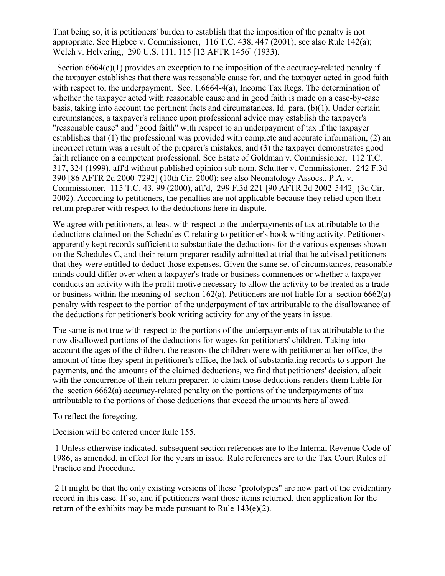That being so, it is petitioners' burden to establish that the imposition of the penalty is not appropriate. See Higbee v. Commissioner, 116 T.C. 438, 447 (2001); see also Rule 142(a); Welch v. Helvering, 290 U.S. 111, 115 [12 AFTR 1456] (1933).

Section 6664(c)(1) provides an exception to the imposition of the accuracy-related penalty if the taxpayer establishes that there was reasonable cause for, and the taxpayer acted in good faith with respect to, the underpayment. Sec.  $1.6664-4(a)$ , Income Tax Regs. The determination of whether the taxpayer acted with reasonable cause and in good faith is made on a case-by-case basis, taking into account the pertinent facts and circumstances. Id. para. (b)(1). Under certain circumstances, a taxpayer's reliance upon professional advice may establish the taxpayer's "reasonable cause" and "good faith" with respect to an underpayment of tax if the taxpayer establishes that (1) the professional was provided with complete and accurate information, (2) an incorrect return was a result of the preparer's mistakes, and (3) the taxpayer demonstrates good faith reliance on a competent professional. See Estate of Goldman v. Commissioner, 112 T.C. 317, 324 (1999), aff'd without published opinion sub nom. Schutter v. Commissioner, 242 F.3d 390 [86 AFTR 2d 2000-7292] (10th Cir. 2000); see also Neonatology Assocs., P.A. v. Commissioner, 115 T.C. 43, 99 (2000), aff'd, 299 F.3d 221 [90 AFTR 2d 2002-5442] (3d Cir. 2002). According to petitioners, the penalties are not applicable because they relied upon their return preparer with respect to the deductions here in dispute.

We agree with petitioners, at least with respect to the underpayments of tax attributable to the deductions claimed on the Schedules C relating to petitioner's book writing activity. Petitioners apparently kept records sufficient to substantiate the deductions for the various expenses shown on the Schedules C, and their return preparer readily admitted at trial that he advised petitioners that they were entitled to deduct those expenses. Given the same set of circumstances, reasonable minds could differ over when a taxpayer's trade or business commences or whether a taxpayer conducts an activity with the profit motive necessary to allow the activity to be treated as a trade or business within the meaning of section  $162(a)$ . Petitioners are not liable for a section  $6662(a)$ penalty with respect to the portion of the underpayment of tax attributable to the disallowance of the deductions for petitioner's book writing activity for any of the years in issue.

The same is not true with respect to the portions of the underpayments of tax attributable to the now disallowed portions of the deductions for wages for petitioners' children. Taking into account the ages of the children, the reasons the children were with petitioner at her office, the amount of time they spent in petitioner's office, the lack of substantiating records to support the payments, and the amounts of the claimed deductions, we find that petitioners' decision, albeit with the concurrence of their return preparer, to claim those deductions renders them liable for the section  $6662(a)$  accuracy-related penalty on the portions of the underpayments of tax attributable to the portions of those deductions that exceed the amounts here allowed.

To reflect the foregoing,

Decision will be entered under Rule 155.

1 Unless otherwise indicated, subsequent section references are to the Internal Revenue Code of 1986, as amended, in effect for the years in issue. Rule references are to the Tax Court Rules of Practice and Procedure.

2 It might be that the only existing versions of these "prototypes" are now part of the evidentiary record in this case. If so, and if petitioners want those items returned, then application for the return of the exhibits may be made pursuant to Rule  $143(e)(2)$ .